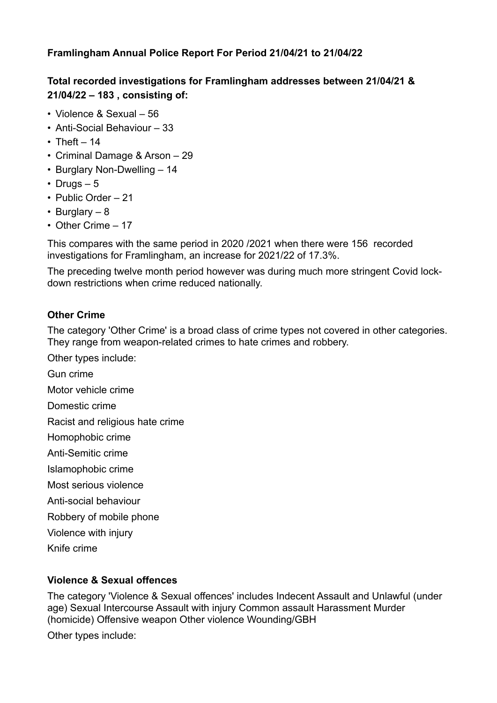#### **Framlingham Annual Police Report For Period 21/04/21 to 21/04/22**

# **Total recorded investigations for Framlingham addresses between 21/04/21 & 21/04/22 – 183 , consisting of:**

- Violence & Sexual 56
- Anti-Social Behaviour 33
- Theft  $-14$
- Criminal Damage & Arson 29
- Burglary Non-Dwelling 14
- Drugs  $-5$
- Public Order 21
- Burglary 8
- Other Crime 17

This compares with the same period in 2020 /2021 when there were 156 recorded investigations for Framlingham, an increase for 2021/22 of 17.3%.

The preceding twelve month period however was during much more stringent Covid lockdown restrictions when crime reduced nationally.

# **Other Crime**

The category 'Other Crime' is a broad class of crime types not covered in other categories. They range from weapon-related crimes to hate crimes and robbery.

Other types include:

Gun crime

Motor vehicle crime

Domestic crime

Racist and religious hate crime

Homophobic crime

Anti-Semitic crime

- Islamophobic crime
- Most serious violence
- Anti-social behaviour
- Robbery of mobile phone
- Violence with injury
- Knife crime

# **Violence & Sexual offences**

The category 'Violence & Sexual offences' includes Indecent Assault and Unlawful (under age) Sexual Intercourse Assault with injury Common assault Harassment Murder (homicide) Offensive weapon Other violence Wounding/GBH

Other types include: